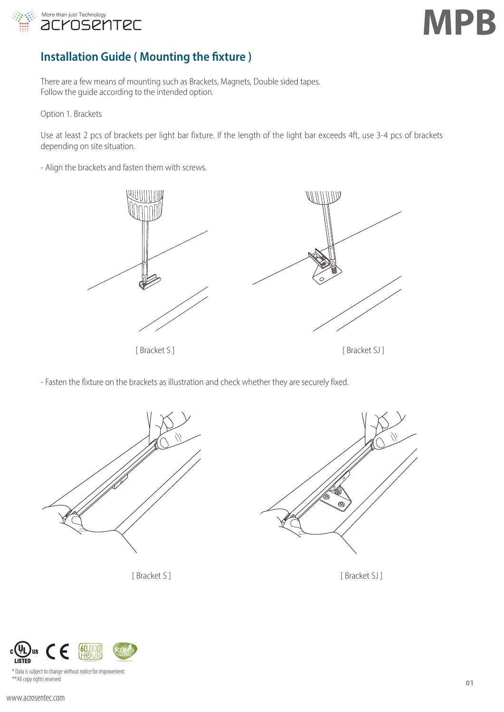



# **Installation Guide ( Mounting the fixture )**

There are a few means of mounting such as Brackets, Magnets, Double sided tapes. Follow the guide according to the intended option.

Option 1. Brackets

Use at least 2 pcs of brackets per light bar fixture. If the length of the light bar exceeds 4ft, use 3-4 pcs of brackets depending on site situation.

- Align the brackets and fasten them with screws.



- Fasten the fixture on the brackets as illustration and check whether they are securely fixed.



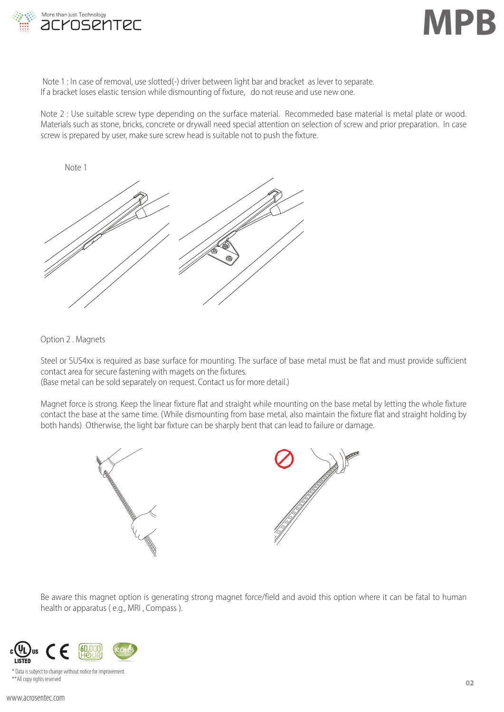

Note 1 : In case of removal, use slotted(-) driver between light bar and bracket as lever to separate. If a bracket loses elastic tension while dismounting of fixture, do not reuse and use new one.

Note 2 : Use suitable screw type depending on the surface material. Recommeded base material is metal plate or wood. Materials such as stone, bricks, concrete or drywall need special attention on selection of screw and prior preparation. In case screw is prepared by user, make sure screw head is suitable not to push the fixture.



Option 2 . Magnets

Steel or SUS4xx is required as base surface for mounting. The surface of base metal must be flat and must provide sufficient contact area for secure fastening with magets on the fixtures.

(Base metal can be sold separately on request. Contact us for more detail.)

Magnet force is strong. Keep the linear fixture flat and straight while mounting on the base metal by letting the whole fixture contact the base at the same time. (While dismounting from base metal, also maintain the fixture flat and straight holding by both hands) Otherwise, the light bar fixture can be sharply bent that can lead to failure or damage.



Be aware this magnet option is generating strong magnet force/field and avoid this option where it can be fatal to human health or apparatus ( e.g., MRI , Compass ).



\* Data is subject to change without notice for improvement. \*\*All copy rights reserved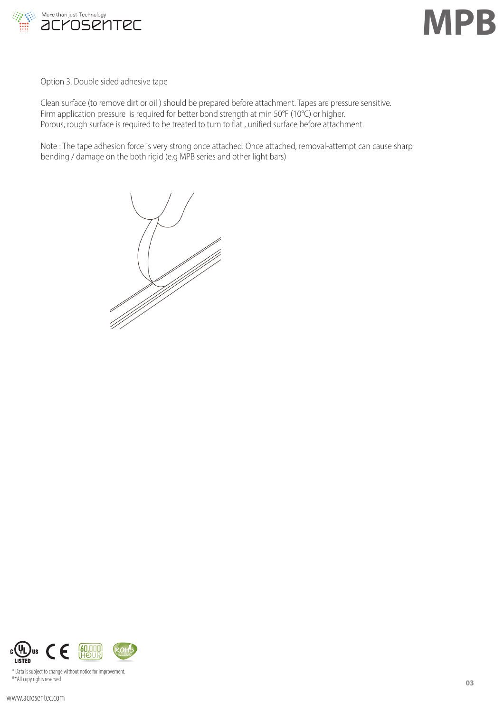



Option 3. Double sided adhesive tape

Clean surface (to remove dirt or oil ) should be prepared before attachment. Tapes are pressure sensitive. Firm application pressure is required for better bond strength at min 50°F (10°C) or higher. Porous, rough surface is required to be treated to turn to flat , unified surface before attachment.

Note : The tape adhesion force is very strong once attached. Once attached, removal-attempt can cause sharp bending / damage on the both rigid (e.g MPB series and other light bars)



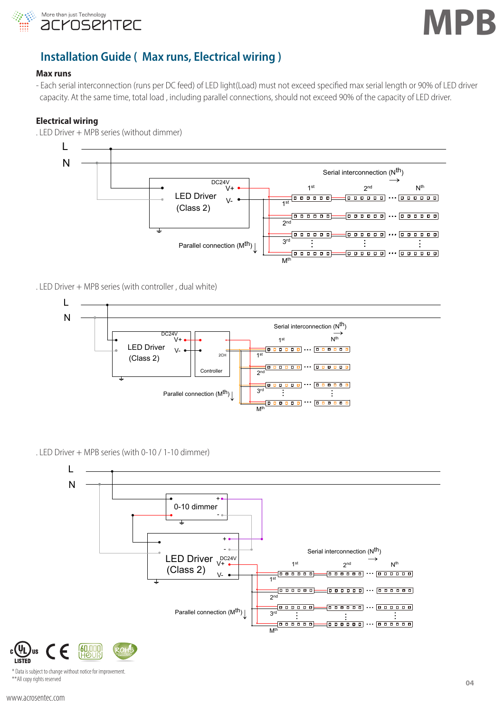



#### **Installation Guide ( Max runs, Electrical wiring )** control with g ectrical wiring) Master Serial interconnection (Nth)

#### **Max runs**

- Each serial interconnection (runs per DC feed) of LED light(Load) must not exceed specified max serial length or 90% of LED driver<br>→ specific At the same time tatal lead - including navallel seppections should not excee capacity. At the same time, total load, including parallel connections, should not exceed 90% of the capacity of LED driver. ... ... .<br>Truns per DC feed) of LED light(Load) must not exceed specified total load, including parallel connections, should not ... ...

#### **Electrical wiring**

. LED Driver + MPB series (without dimmer)



. LED Driver + MPB series (with controller , dual white)



. LED Driver + MPB series (with 0-10 / 1-10 dimmer) L



\* Data is subject to change without notice for improvement. \*\*All copy rights reserved

) us **LISTED**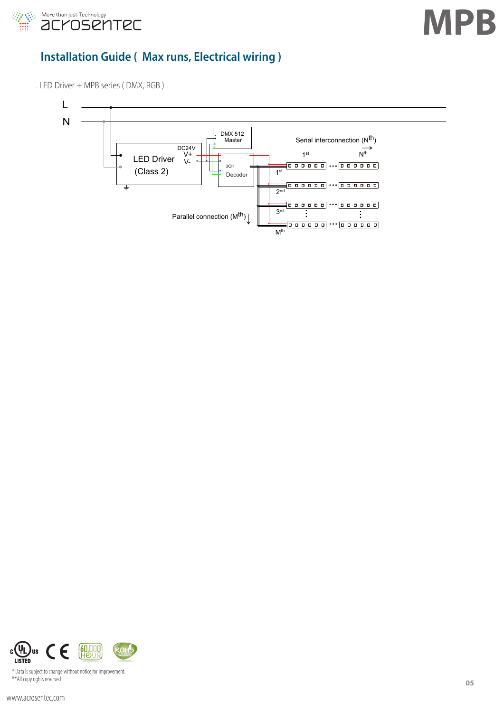

# **Installation Guide ( Max runs, Electrical wiring )**

. LED Driver + MPB series ( DMX, RGB )



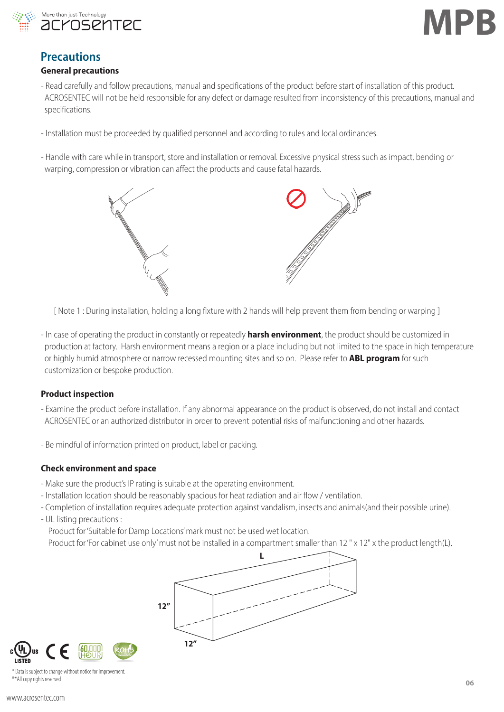



## **Precautions**

#### **General precautions**

- Read carefully and follow precautions, manual and specifications of the product before start of installation of this product. ACROSENTEC will not be held responsible for any defect or damage resulted from inconsistency of this precautions, manual and specifications.
- Installation must be proceeded by qualified personnel and according to rules and local ordinances.
- Handle with care while in transport, store and installation or removal. Excessive physical stress such as impact, bending or warping, compression or vibration can affect the products and cause fatal hazards.



[ Note 1 : During installation, holding a long fixture with 2 hands will help prevent them from bending or warping ]

- In case of operating the product in constantly or repeatedly **harsh environment**, the product should be customized in production at factory. Harsh environment means a region or a place including but not limited to the space in high temperature or highly humid atmosphere or narrow recessed mounting sites and so on. Please refer to **ABL program** for such customization or bespoke production.

### **Product inspection**

- Examine the product before installation. If any abnormal appearance on the product is observed, do not install and contact ACROSENTEC or an authorized distributor in order to prevent potential risks of malfunctioning and other hazards.
- Be mindful of information printed on product, label or packing.

### **Check environment and space**

- Make sure the product's IP rating is suitable at the operating environment.
- Installation location should be reasonably spacious for heat radiation and air flow / ventilation.
- Completion of installation requires adequate protection against vandalism, insects and animals(and their possible urine).
- UL listing precautions :

Product for 'Suitable for Damp Locations' mark must not be used wet location.

Product for 'For cabinet use only' must not be installed in a compartment smaller than 12" x 12" x the product length(L).

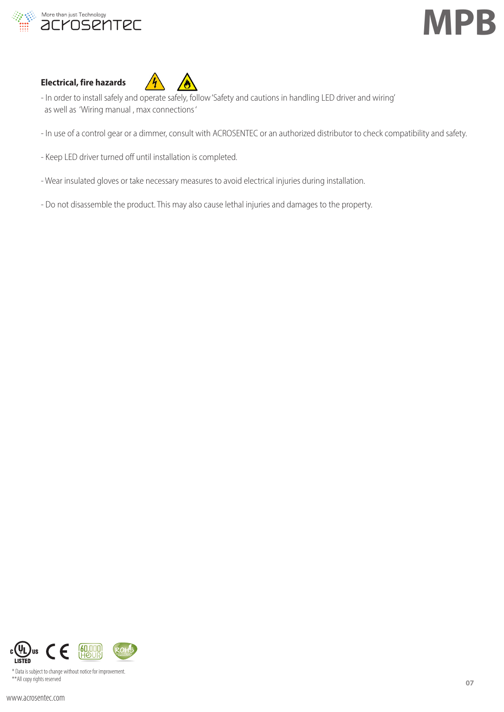



### **Electrical, fire hazards**



- In order to install safely and operate safely, follow 'Safety and cautions in handling LED driver and wiring' as well as 'Wiring manual , max connections '
- In use of a control gear or a dimmer, consult with ACROSENTEC or an authorized distributor to check compatibility and safety.
- Keep LED driver turned off until installation is completed.
- Wear insulated gloves or take necessary measures to avoid electrical injuries during installation.
- Do not disassemble the product. This may also cause lethal injuries and damages to the property.

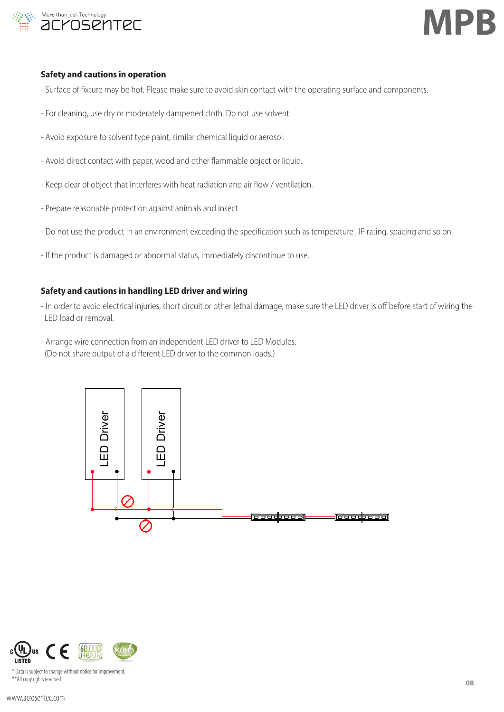

### **Safety and cautions in operation**

- Surface of fixture may be hot. Please make sure to avoid skin contact with the operating surface and components.
- For cleaning, use dry or moderately dampened cloth. Do not use solvent.
- Avoid exposure to solvent type paint, similar chemical liquid or aerosol.
- Avoid direct contact with paper, wood and other flammable object or liquid.
- Keep clear of object that interferes with heat radiation and air flow / ventilation.
- Prepare reasonable protection against animals and insect
- Do not use the product in an environment exceeding the specification such as temperature , IP rating, spacing and so on.
- If the product is damaged or abnormal status, immediately discontinue to use.

### **Safety and cautions in handling LED driver and wiring**

- In order to avoid electrical injuries, short circuit or other lethal damage, make sure the LED driver is off before start of wiring the LED load or removal.
- Arrange wire connection from an independent LED driver to LED Modules. (Do not share output of a different LED driver to the common loads.)